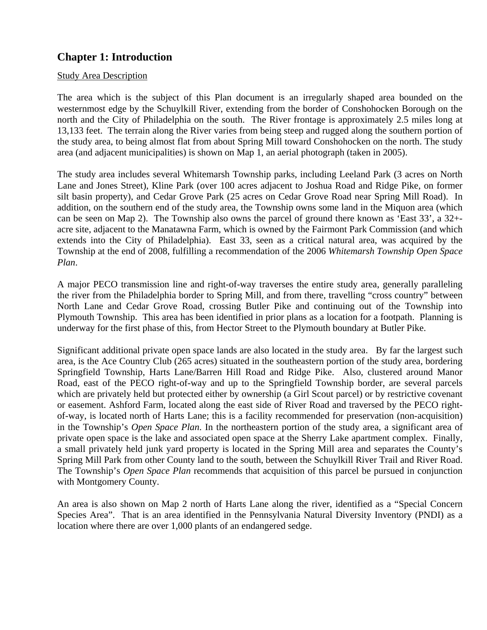## **Chapter 1: Introduction**

## Study Area Description

The area which is the subject of this Plan document is an irregularly shaped area bounded on the westernmost edge by the Schuylkill River, extending from the border of Conshohocken Borough on the north and the City of Philadelphia on the south. The River frontage is approximately 2.5 miles long at 13,133 feet. The terrain along the River varies from being steep and rugged along the southern portion of the study area, to being almost flat from about Spring Mill toward Conshohocken on the north. The study area (and adjacent municipalities) is shown on Map 1, an aerial photograph (taken in 2005).

The study area includes several Whitemarsh Township parks, including Leeland Park (3 acres on North Lane and Jones Street), Kline Park (over 100 acres adjacent to Joshua Road and Ridge Pike, on former silt basin property), and Cedar Grove Park (25 acres on Cedar Grove Road near Spring Mill Road). In addition, on the southern end of the study area, the Township owns some land in the Miquon area (which can be seen on Map 2). The Township also owns the parcel of ground there known as 'East 33', a 32+ acre site, adjacent to the Manatawna Farm, which is owned by the Fairmont Park Commission (and which extends into the City of Philadelphia). East 33, seen as a critical natural area, was acquired by the Township at the end of 2008, fulfilling a recommendation of the 2006 *Whitemarsh Township Open Space Plan*.

A major PECO transmission line and right-of-way traverses the entire study area, generally paralleling the river from the Philadelphia border to Spring Mill, and from there, travelling "cross country" between North Lane and Cedar Grove Road, crossing Butler Pike and continuing out of the Township into Plymouth Township. This area has been identified in prior plans as a location for a footpath. Planning is underway for the first phase of this, from Hector Street to the Plymouth boundary at Butler Pike.

Significant additional private open space lands are also located in the study area. By far the largest such area, is the Ace Country Club (265 acres) situated in the southeastern portion of the study area, bordering Springfield Township, Harts Lane/Barren Hill Road and Ridge Pike. Also, clustered around Manor Road, east of the PECO right-of-way and up to the Springfield Township border, are several parcels which are privately held but protected either by ownership (a Girl Scout parcel) or by restrictive covenant or easement. Ashford Farm, located along the east side of River Road and traversed by the PECO rightof-way, is located north of Harts Lane; this is a facility recommended for preservation (non-acquisition) in the Township's *Open Space Plan*. In the northeastern portion of the study area, a significant area of private open space is the lake and associated open space at the Sherry Lake apartment complex. Finally, a small privately held junk yard property is located in the Spring Mill area and separates the County's Spring Mill Park from other County land to the south, between the Schuylkill River Trail and River Road. The Township's *Open Space Plan* recommends that acquisition of this parcel be pursued in conjunction with Montgomery County.

An area is also shown on Map 2 north of Harts Lane along the river, identified as a "Special Concern Species Area". That is an area identified in the Pennsylvania Natural Diversity Inventory (PNDI) as a location where there are over 1,000 plants of an endangered sedge.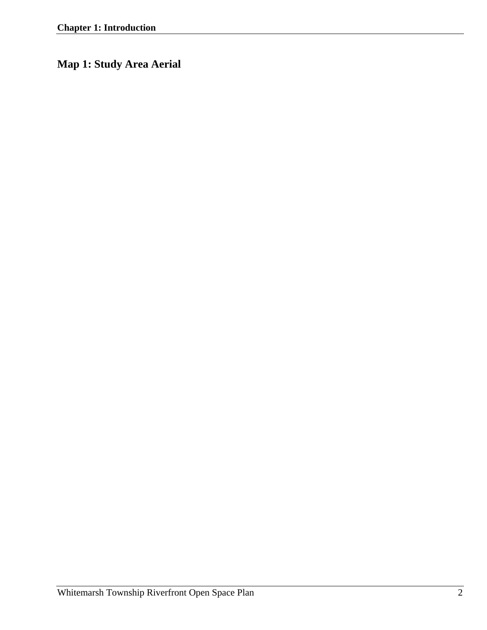**Map 1: Study Area Aerial**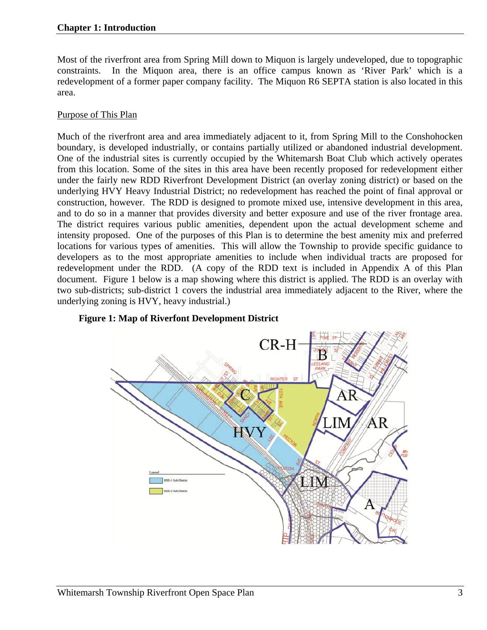Most of the riverfront area from Spring Mill down to Miquon is largely undeveloped, due to topographic constraints. In the Miquon area, there is an office campus known as 'River Park' which is a redevelopment of a former paper company facility. The Miquon R6 SEPTA station is also located in this area.

## Purpose of This Plan

Much of the riverfront area and area immediately adjacent to it, from Spring Mill to the Conshohocken boundary, is developed industrially, or contains partially utilized or abandoned industrial development. One of the industrial sites is currently occupied by the Whitemarsh Boat Club which actively operates from this location. Some of the sites in this area have been recently proposed for redevelopment either under the fairly new RDD Riverfront Development District (an overlay zoning district) or based on the underlying HVY Heavy Industrial District; no redevelopment has reached the point of final approval or construction, however. The RDD is designed to promote mixed use, intensive development in this area, and to do so in a manner that provides diversity and better exposure and use of the river frontage area. The district requires various public amenities, dependent upon the actual development scheme and intensity proposed. One of the purposes of this Plan is to determine the best amenity mix and preferred locations for various types of amenities. This will allow the Township to provide specific guidance to developers as to the most appropriate amenities to include when individual tracts are proposed for redevelopment under the RDD. (A copy of the RDD text is included in Appendix A of this Plan document. Figure 1 below is a map showing where this district is applied. The RDD is an overlay with two sub-districts; sub-district 1 covers the industrial area immediately adjacent to the River, where the underlying zoning is HVY, heavy industrial.)